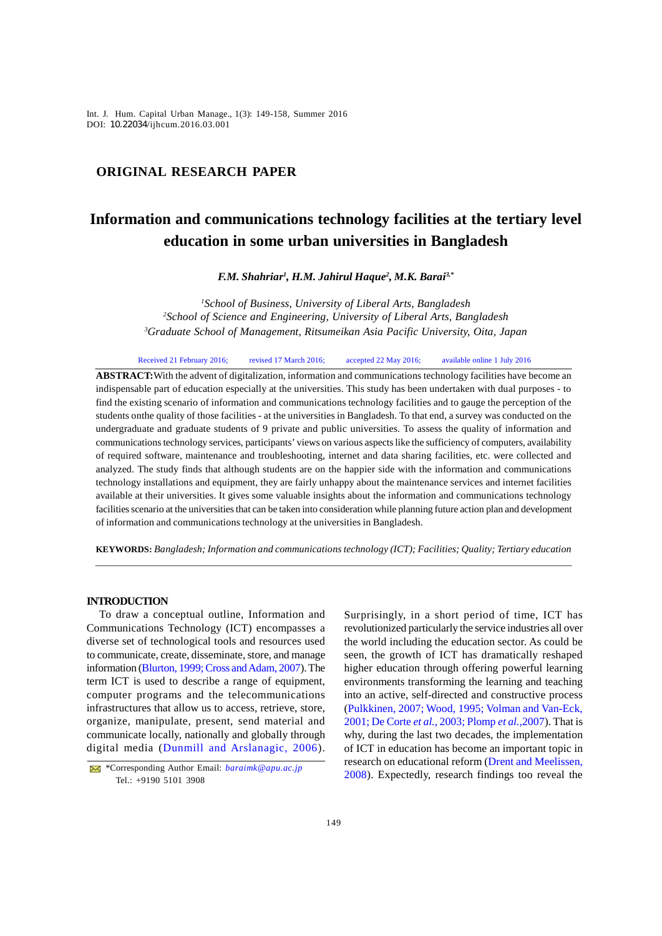*Int. J. Hum. Capital Urban Manage., 1(3): 149-158, Summer 2016* Int. J. Hum. Capital Urban Manage., 1(3): 149-158, Summer 2016 DOI: 10.22034/ijhcum.2016.03.001

# **ORIGINAL RESEARCH PAPER**

# **Information and communications technology facilities at the tertiary level education in some urban universities in Bangladesh**

*F.M. Shahriar<sup>1</sup> , H.M. Jahirul Haque<sup>2</sup> , M.K. Barai3,\**

*<sup>1</sup>School of Business, University of Liberal Arts, Bangladesh <sup>2</sup>School of Science and Engineering, University of Liberal Arts, Bangladesh <sup>3</sup>Graduate School of Management, Ritsumeikan Asia Pacific University, Oita, Japan*

Received 21 February 2016; revised 17 March 2016; accepted 22 May 2016; available online 1 July 2016

**ABSTRACT:**With the advent of digitalization, information and communications technology facilities have become an indispensable part of education especially at the universities. This study has been undertaken with dual purposes - to find the existing scenario of information and communications technology facilities and to gauge the perception of the students onthe quality of those facilities - at the universities in Bangladesh. To that end, a survey was conducted on the undergraduate and graduate students of 9 private and public universities. To assess the quality of information and communications technology services, participants' views on various aspects like the sufficiency of computers, availability of required software, maintenance and troubleshooting, internet and data sharing facilities, etc. were collected and analyzed. The study finds that although students are on the happier side with the information and communications technology installations and equipment, they are fairly unhappy about the maintenance services and internet facilities available at their universities. It gives some valuable insights about the information and communications technology facilities scenario at the universities that can be taken into consideration while planning future action plan and development of information and communications technology at the universities in Bangladesh.

**KEYWORDS:** *Bangladesh; Information and communications technology (ICT); Facilities; Quality; Tertiary education*

## **INTRODUCTION**

To draw a conceptual outline, Information and Communications Technology (ICT) encompasses a diverse set of technological tools and resources used to communicate, create, disseminate, store, and manage information (Blurton, 1999; Cross and Adam, 2007). The term ICT is used to describe a range of equipment, computer programs and the telecommunications infrastructures that allow us to access, retrieve, store, organize, manipulate, present, send material and communicate locally, nationally and globally through digital media (Dunmill and Arslanagic, 2006).

Surprisingly, in a short period of time, ICT has revolutionized particularly the service industries all over the world including the education sector. As could be seen, the growth of ICT has dramatically reshaped higher education through offering powerful learning environments transforming the learning and teaching into an active, self-directed and constructive process (Pulkkinen, 2007; Wood, 1995; Volman and Van-Eck, 2001; De Corte *et al.*, 2003; Plomp *et al.,*2007). That is why, during the last two decades, the implementation of ICT in education has become an important topic in research on educational reform (Drent and Meelissen, 2008). Expectedly, research findings too reveal the

<sup>\*</sup>Corresponding Author Email: *baraimk@apu.ac.jp* Tel.: +9190 5101 3908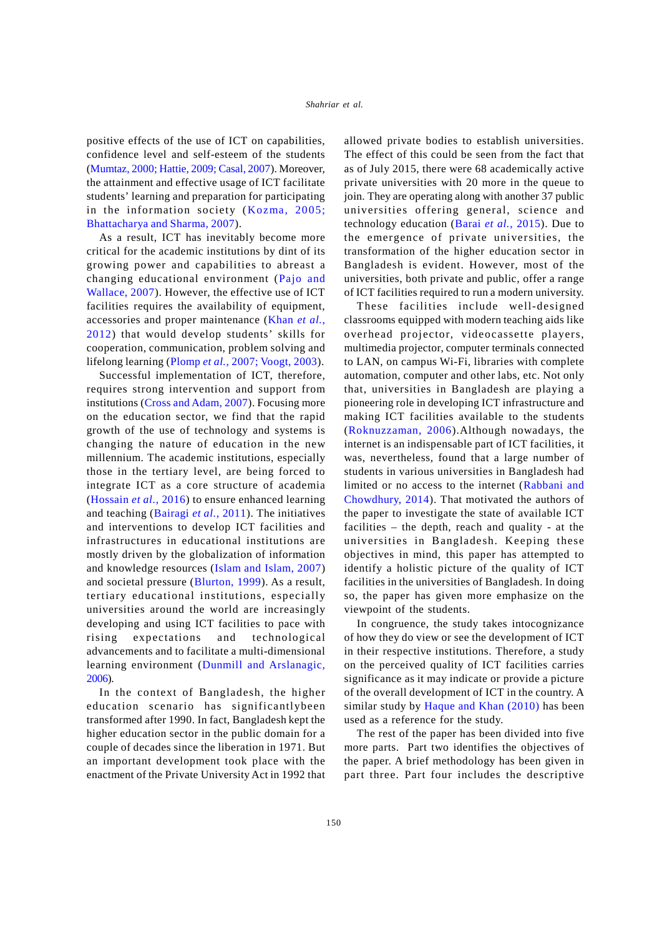positive effects of the use of ICT on capabilities, confidence level and self-esteem of the students (Mumtaz, 2000; Hattie, 2009; Casal, 2007). Moreover, the attainment and effective usage of ICT facilitate students' learning and preparation for participating in the information society (Kozma, 2005; Bhattacharya and Sharma, 2007).

As a result, ICT has inevitably become more critical for the academic institutions by dint of its growing power and capabilities to abreast a changing educational environment (Pajo and Wallace, 2007). However, the effective use of ICT facilities requires the availability of equipment, accessories and proper maintenance (Khan *et al.*, 2012) that would develop students' skills for cooperation, communication, problem solving and lifelong learning (Plomp *et al.*, 2007; Voogt, 2003).

Successful implementation of ICT, therefore, requires strong intervention and support from institutions (Cross and Adam, 2007). Focusing more on the education sector, we find that the rapid growth of the use of technology and systems is changing the nature of education in the new millennium. The academic institutions, especially those in the tertiary level, are being forced to integrate ICT as a core structure of academia (Hossain *et al.*, 2016) to ensure enhanced learning and teaching (Bairagi *et al.*, 2011). The initiatives and interventions to develop ICT facilities and infrastructures in educational institutions are mostly driven by the globalization of information and knowledge resources (Islam and Islam, 2007) and societal pressure (Blurton, 1999). As a result, tertiary educational institutions, especially universities around the world are increasingly developing and using ICT facilities to pace with rising expectations and technological advancements and to facilitate a multi-dimensional learning environment (Dunmill and Arslanagic, 2006).

In the context of Bangladesh, the higher education scenario has significantlybeen transformed after 1990. In fact, Bangladesh kept the higher education sector in the public domain for a couple of decades since the liberation in 1971. But an important development took place with the enactment of the Private University Act in 1992 that

allowed private bodies to establish universities. The effect of this could be seen from the fact that as of July 2015, there were 68 academically active private universities with 20 more in the queue to join. They are operating along with another 37 public universities offering general, science and technology education (Barai *et al.*, 2015). Due to the emergence of private universities, the transformation of the higher education sector in Bangladesh is evident. However, most of the universities, both private and public, offer a range of ICT facilities required to run a modern university.

These facilities include well-designed classrooms equipped with modern teaching aids like overhead projector, videocassette players, multimedia projector, computer terminals connected to LAN, on campus Wi-Fi, libraries with complete automation, computer and other labs, etc. Not only that, universities in Bangladesh are playing a pioneering role in developing ICT infrastructure and making ICT facilities available to the students (Roknuzzaman, 2006).Although nowadays, the internet is an indispensable part of ICT facilities, it was, nevertheless, found that a large number of students in various universities in Bangladesh had limited or no access to the internet (Rabbani and Chowdhury, 2014). That motivated the authors of the paper to investigate the state of available ICT facilities – the depth, reach and quality - at the universities in Bangladesh. Keeping these objectives in mind, this paper has attempted to identify a holistic picture of the quality of ICT facilities in the universities of Bangladesh. In doing so, the paper has given more emphasize on the viewpoint of the students.

In congruence, the study takes intocognizance of how they do view or see the development of ICT in their respective institutions. Therefore, a study on the perceived quality of ICT facilities carries significance as it may indicate or provide a picture of the overall development of ICT in the country. A similar study by Haque and Khan (2010) has been used as a reference for the study.

The rest of the paper has been divided into five more parts. Part two identifies the objectives of the paper. A brief methodology has been given in part three. Part four includes the descriptive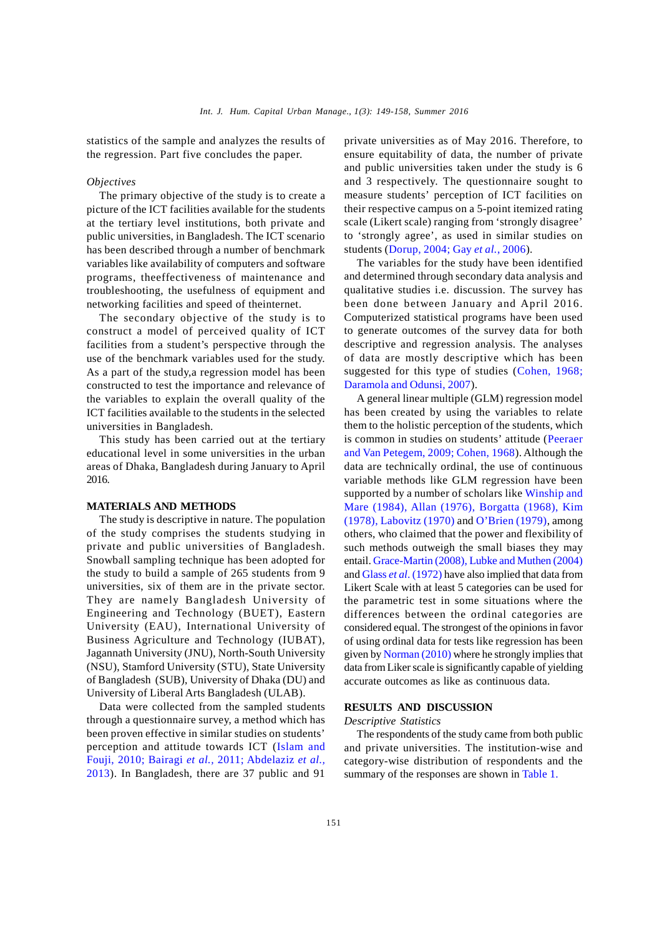statistics of the sample and analyzes the results of the regression. Part five concludes the paper.

#### *Objectives*

The primary objective of the study is to create a picture of the ICT facilities available for the students at the tertiary level institutions, both private and public universities, in Bangladesh. The ICT scenario has been described through a number of benchmark variables like availability of computers and software programs, theeffectiveness of maintenance and troubleshooting, the usefulness of equipment and networking facilities and speed of theinternet.

The secondary objective of the study is to construct a model of perceived quality of ICT facilities from a student's perspective through the use of the benchmark variables used for the study. As a part of the study,a regression model has been constructed to test the importance and relevance of the variables to explain the overall quality of the ICT facilities available to the students in the selected universities in Bangladesh.

This study has been carried out at the tertiary educational level in some universities in the urban areas of Dhaka, Bangladesh during January to April 2016.

## **MATERIALS AND METHODS**

The study is descriptive in nature. The population of the study comprises the students studying in private and public universities of Bangladesh. Snowball sampling technique has been adopted for the study to build a sample of 265 students from 9 universities, six of them are in the private sector. They are namely Bangladesh University of Engineering and Technology (BUET), Eastern University (EAU), International University of Business Agriculture and Technology (IUBAT), Jagannath University (JNU), North-South University (NSU), Stamford University (STU), State University of Bangladesh (SUB), University of Dhaka (DU) and University of Liberal Arts Bangladesh (ULAB).

Data were collected from the sampled students through a questionnaire survey, a method which has been proven effective in similar studies on students' perception and attitude towards ICT (Islam and Fouji, 2010; Bairagi *et al.,* 2011; Abdelaziz *et al.,* 2013). In Bangladesh, there are 37 public and 91

private universities as of May 2016. Therefore, to ensure equitability of data, the number of private and public universities taken under the study is 6 and 3 respectively. The questionnaire sought to measure students' perception of ICT facilities on their respective campus on a 5-point itemized rating scale (Likert scale) ranging from 'strongly disagree' to 'strongly agree', as used in similar studies on students (Dorup, 2004; Gay *et al.*, 2006).

The variables for the study have been identified and determined through secondary data analysis and qualitative studies i.e. discussion. The survey has been done between January and April 2016. Computerized statistical programs have been used to generate outcomes of the survey data for both descriptive and regression analysis. The analyses of data are mostly descriptive which has been suggested for this type of studies (Cohen, 1968; Daramola and Odunsi, 2007).

A general linear multiple (GLM) regression model has been created by using the variables to relate them to the holistic perception of the students, which is common in studies on students' attitude (Peeraer and Van Petegem, 2009; Cohen, 1968). Although the data are technically ordinal, the use of continuous variable methods like GLM regression have been supported by a number of scholars like Winship and Mare (1984), Allan (1976), Borgatta (1968), Kim (1978), Labovitz (1970) and O'Brien (1979), among others, who claimed that the power and flexibility of such methods outweigh the small biases they may entail. Grace-Martin (2008), Lubke and Muthen (2004) and Glass *et al*. (1972) have also implied that data from Likert Scale with at least 5 categories can be used for the parametric test in some situations where the differences between the ordinal categories are considered equal. The strongest of the opinions in favor of using ordinal data for tests like regression has been given by Norman (2010) where he strongly implies that data from Liker scale is significantly capable of yielding accurate outcomes as like as continuous data.

#### **RESULTS AND DISCUSSION**

#### *Descriptive Statistics*

The respondents of the study came from both public and private universities. The institution-wise and category-wise distribution of respondents and the summary of the responses are shown in Table 1.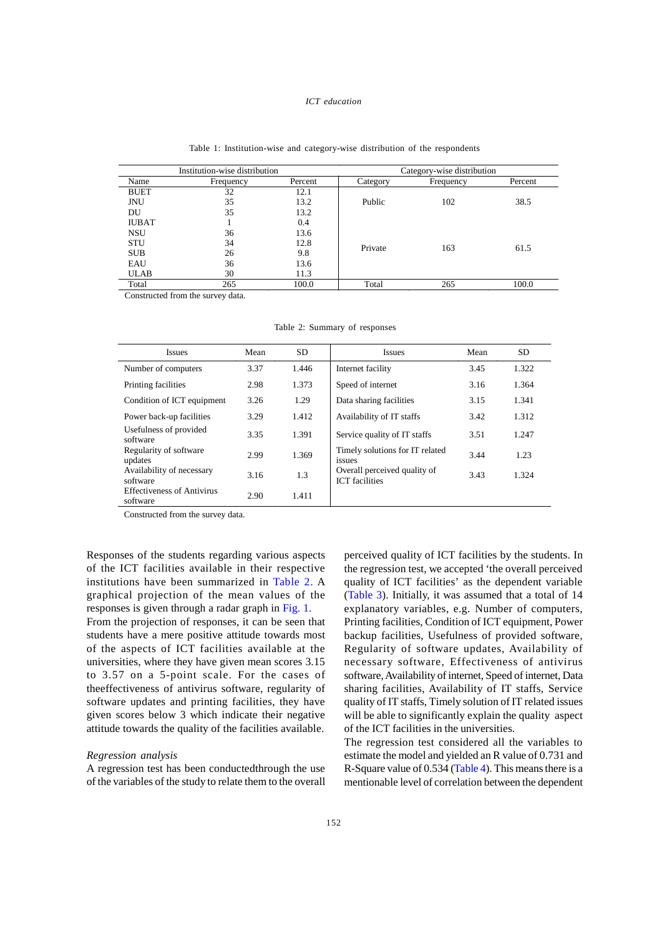#### *ICT education*

|              | Institution-wise distribution |         |          | Category-wise distribution |         |
|--------------|-------------------------------|---------|----------|----------------------------|---------|
| Name         | Frequency                     | Percent | Category | Frequency                  | Percent |
| <b>BUET</b>  | 32                            | 12.1    |          |                            |         |
| JNU          | 35                            | 13.2    | Public   | 102                        | 38.5    |
| DU           | 35                            | 13.2    |          |                            |         |
| <b>IUBAT</b> |                               | 0.4     |          |                            |         |
| <b>NSU</b>   | 36                            | 13.6    |          |                            |         |
| <b>STU</b>   | 34                            | 12.8    | Private  | 163                        | 61.5    |
| <b>SUB</b>   | 26                            | 9.8     |          |                            |         |
| EAU          | 36                            | 13.6    |          |                            |         |
| ULAB         | 30                            | 11.3    |          |                            |         |
| Total        | 265                           | 100.0   | Total    | 265                        | 100.0   |

#### Table 1: Institution-wise and category-wise distribution of the respondents

Constructed from the survey data.

Table 2: Summary of responses

| <b>Issues</b>                                 | Mean | SD.   | <b>Issues</b>                                         | Mean | <b>SD</b> |
|-----------------------------------------------|------|-------|-------------------------------------------------------|------|-----------|
| Number of computers                           | 3.37 | 1.446 | Internet facility                                     | 3.45 | 1.322     |
| Printing facilities                           | 2.98 | 1.373 | Speed of internet                                     | 3.16 | 1.364     |
| Condition of ICT equipment                    | 3.26 | 1.29  | Data sharing facilities                               | 3.15 | 1.341     |
| Power back-up facilities                      | 3.29 | 1.412 | Availability of IT staffs                             | 3.42 | 1.312     |
| Usefulness of provided<br>software            | 3.35 | 1.391 | Service quality of IT staffs                          | 3.51 | 1.247     |
| Regularity of software<br>updates             | 2.99 | 1.369 | Timely solutions for IT related<br>issues             | 3.44 | 1.23      |
| Availability of necessary<br>software         | 3.16 | 1.3   | Overall perceived quality of<br><b>ICT</b> facilities | 3.43 | 1.324     |
| <b>Effectiveness of Antivirus</b><br>software | 2.90 | 1.411 |                                                       |      |           |

Constructed from the survey data.

Responses of the students regarding various aspects of the ICT facilities available in their respective institutions have been summarized in Table 2. A graphical projection of the mean values of the responses is given through a radar graph in Fig. 1. From the projection of responses, it can be seen that students have a mere positive attitude towards most of the aspects of ICT facilities available at the

universities, where they have given mean scores 3.15 to 3.57 on a 5-point scale. For the cases of theeffectiveness of antivirus software, regularity of software updates and printing facilities, they have given scores below 3 which indicate their negative attitude towards the quality of the facilities available.

## *Regression analysis*

A regression test has been conductedthrough the use of the variables of the study to relate them to the overall perceived quality of ICT facilities by the students. In the regression test, we accepted 'the overall perceived quality of ICT facilities' as the dependent variable (Table 3). Initially, it was assumed that a total of 14 explanatory variables, e.g. Number of computers, Printing facilities, Condition of ICT equipment, Power backup facilities, Usefulness of provided software, Regularity of software updates, Availability of necessary software, Effectiveness of antivirus software, Availability of internet, Speed of internet, Data sharing facilities, Availability of IT staffs, Service quality of IT staffs, Timely solution of IT related issues will be able to significantly explain the quality aspect of the ICT facilities in the universities.

The regression test considered all the variables to estimate the model and yielded an R value of 0.731 and R-Square value of 0.534 (Table 4). This means there is a mentionable level of correlation between the dependent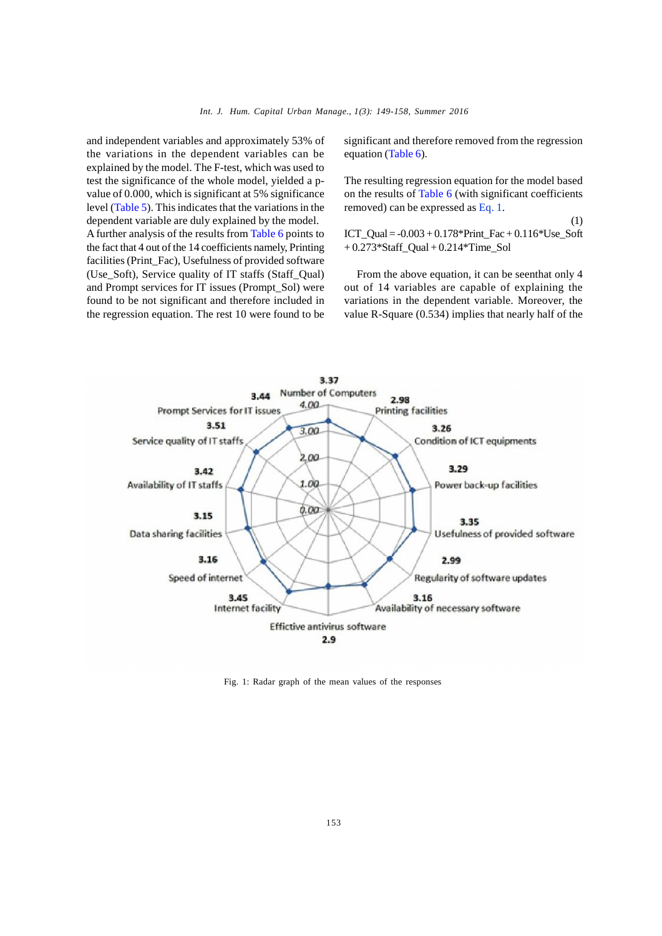and independent variables and approximately 53% of the variations in the dependent variables can be explained by the model. The F-test, which was used to test the significance of the whole model, yielded a pvalue of 0.000, which is significant at 5% significance level (Table 5). This indicates that the variations in the dependent variable are duly explained by the model. A further analysis of the results from Table 6 points to the fact that 4 out of the 14 coefficients namely, Printing facilities (Print\_Fac), Usefulness of provided software (Use\_Soft), Service quality of IT staffs (Staff\_Qual) and Prompt services for IT issues (Prompt\_Sol) were found to be not significant and therefore included in the regression equation. The rest 10 were found to be

significant and therefore removed from the regression equation (Table 6).

The resulting regression equation for the model based on the results of Table 6 (with significant coefficients removed) can be expressed as Eq. 1.

ICT\_Qual =  $-0.003 + 0.178*$ Print\_Fac + 0.116\*Use\_Soft + 0.273\*Staff\_Qual + 0.214\*Time\_Sol

(1)

From the above equation, it can be seenthat only 4 out of 14 variables are capable of explaining the variations in the dependent variable. Moreover, the value R-Square (0.534) implies that nearly half of the



Fig. 1: Radar graph of the mean values of the responses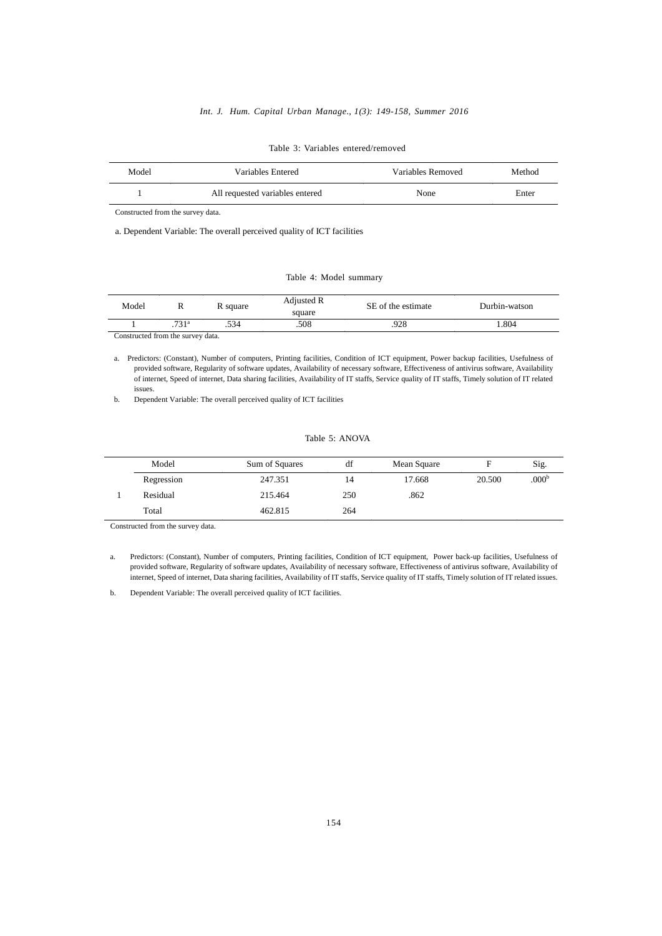### *Int. J. Hum. Capital Urban Manage., 1(3): 149-158, Summer 2016*

| Model | Variables Entered               | Variables Removed | Method |
|-------|---------------------------------|-------------------|--------|
|       | All requested variables entered | None              | Enter  |

#### Table 3: Variables entered/removed

Constructed from the survey data.

a. Dependent Variable: The overall perceived quality of ICT facilities

#### Table 4: Model summary

| Model |      | R square | Adjusted R<br>square | SE of the estimate | Durbin-watson |
|-------|------|----------|----------------------|--------------------|---------------|
|       | 721a | .534     | .508                 | 928                | .804          |

Constructed from the survey data.

a. Predictors: (Constant), Number of computers, Printing facilities, Condition of ICT equipment, Power backup facilities, Usefulness of provided software, Regularity of software updates, Availability of necessary software, Effectiveness of antivirus software, Availability of internet, Speed of internet, Data sharing facilities, Availability of IT staffs, Service quality of IT staffs, Timely solution of IT related issues.

b. Dependent Variable: The overall perceived quality of ICT facilities

## Table 5: ANOVA

| Model      | Sum of Squares | df  | Mean Square | F      | Sig.              |
|------------|----------------|-----|-------------|--------|-------------------|
| Regression | 247.351        | 14  | 17.668      | 20.500 | .000 <sup>b</sup> |
| Residual   | 215.464        | 250 | .862        |        |                   |
| Total      | 462.815        | 264 |             |        |                   |

Constructed from the survey data.

a. Predictors: (Constant), Number of computers, Printing facilities, Condition of ICT equipment, Power back-up facilities, Usefulness of provided software, Regularity of software updates, Availability of necessary software, Effectiveness of antivirus software, Availability of internet, Speed of internet, Data sharing facilities, Availability of IT staffs, Service quality of IT staffs, Timely solution of IT related issues.

b. Dependent Variable: The overall perceived quality of ICT facilities.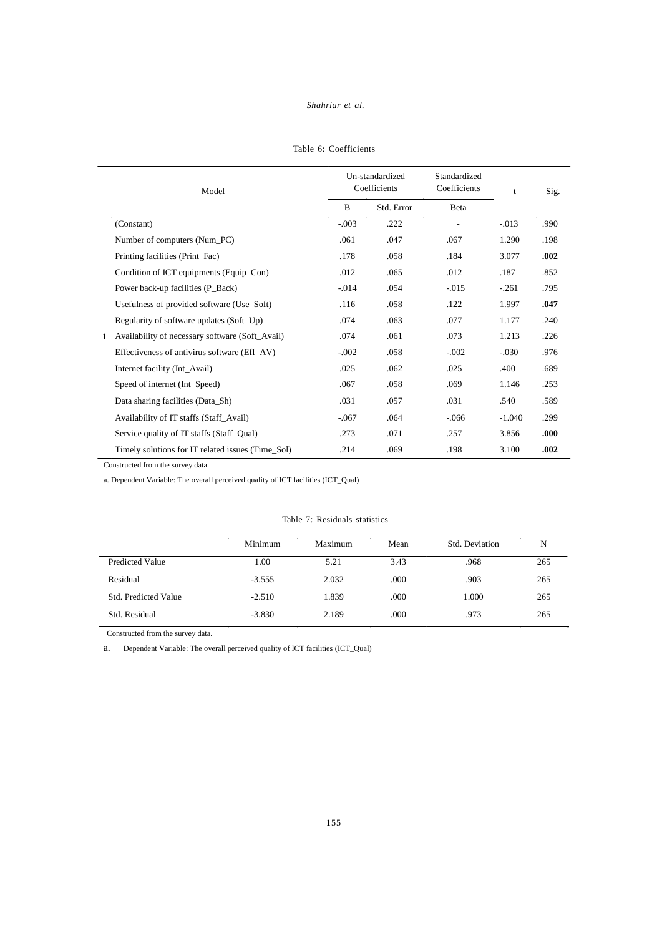|  | Table 6: Coefficients |
|--|-----------------------|

|              | Model                                             |         | Un-standardized<br>Coefficients | Standardized<br>Coefficients | t        | Sig. |
|--------------|---------------------------------------------------|---------|---------------------------------|------------------------------|----------|------|
|              |                                                   | B       | Std. Error                      | Beta                         |          |      |
|              | (Constant)                                        | $-.003$ | .222                            |                              | $-.013$  | .990 |
|              | Number of computers (Num_PC)                      | .061    | .047                            | .067                         | 1.290    | .198 |
|              | Printing facilities (Print_Fac)                   | .178    | .058                            | .184                         | 3.077    | .002 |
|              | Condition of ICT equipments (Equip_Con)           | .012    | .065                            | .012                         | .187     | .852 |
|              | Power back-up facilities (P_Back)                 | $-.014$ | .054                            | $-.015$                      | $-.261$  | .795 |
|              | Usefulness of provided software (Use_Soft)        | .116    | .058                            | .122                         | 1.997    | .047 |
|              | Regularity of software updates (Soft_Up)          | .074    | .063                            | .077                         | 1.177    | .240 |
| $\mathbf{1}$ | Availability of necessary software (Soft_Avail)   | .074    | .061                            | .073                         | 1.213    | .226 |
|              | Effectiveness of antivirus software (Eff_AV)      | $-.002$ | .058                            | $-.002$                      | $-.030$  | .976 |
|              | Internet facility (Int_Avail)                     | .025    | .062                            | .025                         | .400     | .689 |
|              | Speed of internet (Int_Speed)                     | .067    | .058                            | .069                         | 1.146    | .253 |
|              | Data sharing facilities (Data_Sh)                 | .031    | .057                            | .031                         | .540     | .589 |
|              | Availability of IT staffs (Staff_Avail)           | $-.067$ | .064                            | $-.066$                      | $-1.040$ | .299 |
|              | Service quality of IT staffs (Staff_Qual)         | .273    | .071                            | .257                         | 3.856    | .000 |
|              | Timely solutions for IT related issues (Time_Sol) | .214    | .069                            | .198                         | 3.100    | .002 |

Constructed from the survey data.

a. Dependent Variable: The overall perceived quality of ICT facilities (ICT\_Qual)

# Table 7: Residuals statistics

|                             | Minimum  | Maximum | Mean | Std. Deviation | N   |
|-----------------------------|----------|---------|------|----------------|-----|
| Predicted Value             | 1.00     | 5.21    | 3.43 | .968           | 265 |
| Residual                    | $-3.555$ | 2.032   | .000 | .903           | 265 |
| <b>Std. Predicted Value</b> | $-2.510$ | 1.839   | .000 | 1.000          | 265 |
| Std. Residual               | $-3.830$ | 2.189   | .000 | .973           | 265 |
|                             |          |         |      |                |     |

Constructed from the survey data.

a. Dependent Variable: The overall perceived quality of ICT facilities (ICT\_Qual)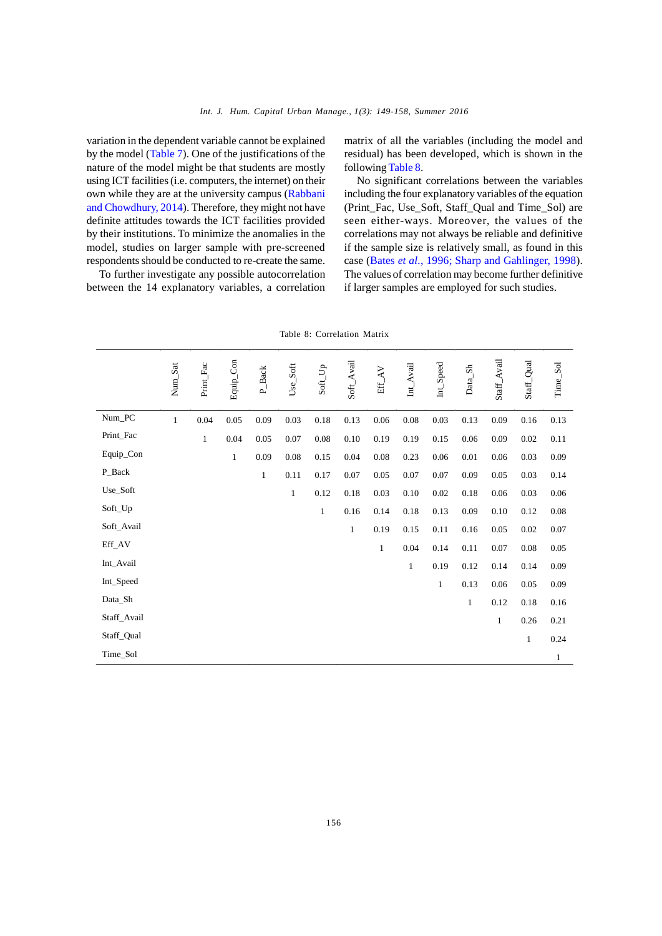variation in the dependent variable cannot be explained by the model (Table 7). One of the justifications of the nature of the model might be that students are mostly using ICT facilities (i.e. computers, the internet) on their own while they are at the university campus (Rabbani and Chowdhury, 2014). Therefore, they might not have definite attitudes towards the ICT facilities provided by their institutions. To minimize the anomalies in the model, studies on larger sample with pre-screened respondents should be conducted to re-create the same.

To further investigate any possible autocorrelation between the 14 explanatory variables, a correlation

matrix of all the variables (including the model and residual) has been developed, which is shown in the following Table 8.

No significant correlations between the variables including the four explanatory variables of the equation (Print\_Fac, Use\_Soft, Staff\_Qual and Time\_Sol) are seen either-ways. Moreover, the values of the correlations may not always be reliable and definitive if the sample size is relatively small, as found in this case (Bates *et al.*, 1996; Sharp and Gahlinger, 1998). The values of correlation may become further definitive if larger samples are employed for such studies.

| Equip_Con<br>Staff_Avail<br>Soft_Avail<br>Staff_Qual<br>Num_Sat<br>Int_Speed<br>Time_Sol<br>Print_Fac<br>$Use\_Soft$<br>$Int_{\_}$ Avail<br>$\text{Soft\_Up}$<br>Data_Sh<br>$P_Back$<br>$\operatorname{Eff\_AV}$<br>Num_PC<br>$\,1\,$<br>0.04<br>0.05<br>0.09<br>0.09<br>0.03<br>0.18<br>0.13<br>0.06<br>$0.08\,$<br>0.03<br>0.13<br>0.16<br>0.13<br>Print_Fac<br>$\,1$<br>$0.04\,$<br>0.05<br>0.07<br>$0.08\,$<br>$0.10\,$<br>0.19<br>0.15<br>$0.11\,$<br>0.19<br>0.06<br>0.09<br>0.02<br>Equip_Con<br>0.06<br>$\mathbf{1}$<br>0.09<br>0.08<br>0.15<br>$0.04\,$<br>0.23<br>$0.01\,$<br>$0.06\,$<br>0.09<br>0.08<br>0.03<br>P_Back<br>0.11<br>$\,1\,$<br>0.17<br>$0.07\,$<br>0.05<br>$0.07\,$<br>0.07<br>0.09<br>0.05<br>0.03<br>0.14<br>Use_Soft<br>$1\,$<br>0.12<br>0.18<br>$0.10\,$<br>0.02<br>$0.03\,$<br>$0.18\,$<br>$0.06\,$<br>0.03<br>$0.06\,$<br>Soft_Up<br>$\,1\,$<br>0.13<br>0.09<br>$0.16\,$<br>0.14<br>$0.18\,$<br>$0.10\,$<br>$0.12\,$<br>$\rm 0.08$<br>Soft_Avail<br>$\,1$<br>0.11<br>0.19<br>0.15<br>$0.16\,$<br>$0.05\,$<br>$0.02\,$<br>$0.07\,$<br>$Eff\_AV$<br>$1\,$<br>0.04<br>0.14<br>0.11<br>$0.07\,$<br>$0.08\,$<br>0.05<br>Int_Avail<br>0.19<br>$\mathbf{1}$<br>0.12<br>0.14<br>0.14<br>0.09<br>Int_Speed<br>$\mathbf{1}$<br>0.13<br>$0.06\,$<br>0.05<br>0.09<br>Data_Sh<br>$\mathbf{1}$<br>0.12<br>0.18<br>0.16<br>Staff_Avail<br>$\mathbf{1}$<br>0.26<br>0.21<br>Staff_Qual<br>$\,1\,$<br>0.24<br>Time_Sol<br>$\mathbf{1}$ |  |  |  |  |  |  |  |  |
|------------------------------------------------------------------------------------------------------------------------------------------------------------------------------------------------------------------------------------------------------------------------------------------------------------------------------------------------------------------------------------------------------------------------------------------------------------------------------------------------------------------------------------------------------------------------------------------------------------------------------------------------------------------------------------------------------------------------------------------------------------------------------------------------------------------------------------------------------------------------------------------------------------------------------------------------------------------------------------------------------------------------------------------------------------------------------------------------------------------------------------------------------------------------------------------------------------------------------------------------------------------------------------------------------------------------------------------------------------------------------------------------------------------------------------------------------|--|--|--|--|--|--|--|--|
|                                                                                                                                                                                                                                                                                                                                                                                                                                                                                                                                                                                                                                                                                                                                                                                                                                                                                                                                                                                                                                                                                                                                                                                                                                                                                                                                                                                                                                                      |  |  |  |  |  |  |  |  |
|                                                                                                                                                                                                                                                                                                                                                                                                                                                                                                                                                                                                                                                                                                                                                                                                                                                                                                                                                                                                                                                                                                                                                                                                                                                                                                                                                                                                                                                      |  |  |  |  |  |  |  |  |
|                                                                                                                                                                                                                                                                                                                                                                                                                                                                                                                                                                                                                                                                                                                                                                                                                                                                                                                                                                                                                                                                                                                                                                                                                                                                                                                                                                                                                                                      |  |  |  |  |  |  |  |  |
|                                                                                                                                                                                                                                                                                                                                                                                                                                                                                                                                                                                                                                                                                                                                                                                                                                                                                                                                                                                                                                                                                                                                                                                                                                                                                                                                                                                                                                                      |  |  |  |  |  |  |  |  |
|                                                                                                                                                                                                                                                                                                                                                                                                                                                                                                                                                                                                                                                                                                                                                                                                                                                                                                                                                                                                                                                                                                                                                                                                                                                                                                                                                                                                                                                      |  |  |  |  |  |  |  |  |
|                                                                                                                                                                                                                                                                                                                                                                                                                                                                                                                                                                                                                                                                                                                                                                                                                                                                                                                                                                                                                                                                                                                                                                                                                                                                                                                                                                                                                                                      |  |  |  |  |  |  |  |  |
|                                                                                                                                                                                                                                                                                                                                                                                                                                                                                                                                                                                                                                                                                                                                                                                                                                                                                                                                                                                                                                                                                                                                                                                                                                                                                                                                                                                                                                                      |  |  |  |  |  |  |  |  |
|                                                                                                                                                                                                                                                                                                                                                                                                                                                                                                                                                                                                                                                                                                                                                                                                                                                                                                                                                                                                                                                                                                                                                                                                                                                                                                                                                                                                                                                      |  |  |  |  |  |  |  |  |
|                                                                                                                                                                                                                                                                                                                                                                                                                                                                                                                                                                                                                                                                                                                                                                                                                                                                                                                                                                                                                                                                                                                                                                                                                                                                                                                                                                                                                                                      |  |  |  |  |  |  |  |  |
|                                                                                                                                                                                                                                                                                                                                                                                                                                                                                                                                                                                                                                                                                                                                                                                                                                                                                                                                                                                                                                                                                                                                                                                                                                                                                                                                                                                                                                                      |  |  |  |  |  |  |  |  |
|                                                                                                                                                                                                                                                                                                                                                                                                                                                                                                                                                                                                                                                                                                                                                                                                                                                                                                                                                                                                                                                                                                                                                                                                                                                                                                                                                                                                                                                      |  |  |  |  |  |  |  |  |
|                                                                                                                                                                                                                                                                                                                                                                                                                                                                                                                                                                                                                                                                                                                                                                                                                                                                                                                                                                                                                                                                                                                                                                                                                                                                                                                                                                                                                                                      |  |  |  |  |  |  |  |  |
|                                                                                                                                                                                                                                                                                                                                                                                                                                                                                                                                                                                                                                                                                                                                                                                                                                                                                                                                                                                                                                                                                                                                                                                                                                                                                                                                                                                                                                                      |  |  |  |  |  |  |  |  |
|                                                                                                                                                                                                                                                                                                                                                                                                                                                                                                                                                                                                                                                                                                                                                                                                                                                                                                                                                                                                                                                                                                                                                                                                                                                                                                                                                                                                                                                      |  |  |  |  |  |  |  |  |
|                                                                                                                                                                                                                                                                                                                                                                                                                                                                                                                                                                                                                                                                                                                                                                                                                                                                                                                                                                                                                                                                                                                                                                                                                                                                                                                                                                                                                                                      |  |  |  |  |  |  |  |  |
|                                                                                                                                                                                                                                                                                                                                                                                                                                                                                                                                                                                                                                                                                                                                                                                                                                                                                                                                                                                                                                                                                                                                                                                                                                                                                                                                                                                                                                                      |  |  |  |  |  |  |  |  |
| 156                                                                                                                                                                                                                                                                                                                                                                                                                                                                                                                                                                                                                                                                                                                                                                                                                                                                                                                                                                                                                                                                                                                                                                                                                                                                                                                                                                                                                                                  |  |  |  |  |  |  |  |  |

Table 8: Correlation Matrix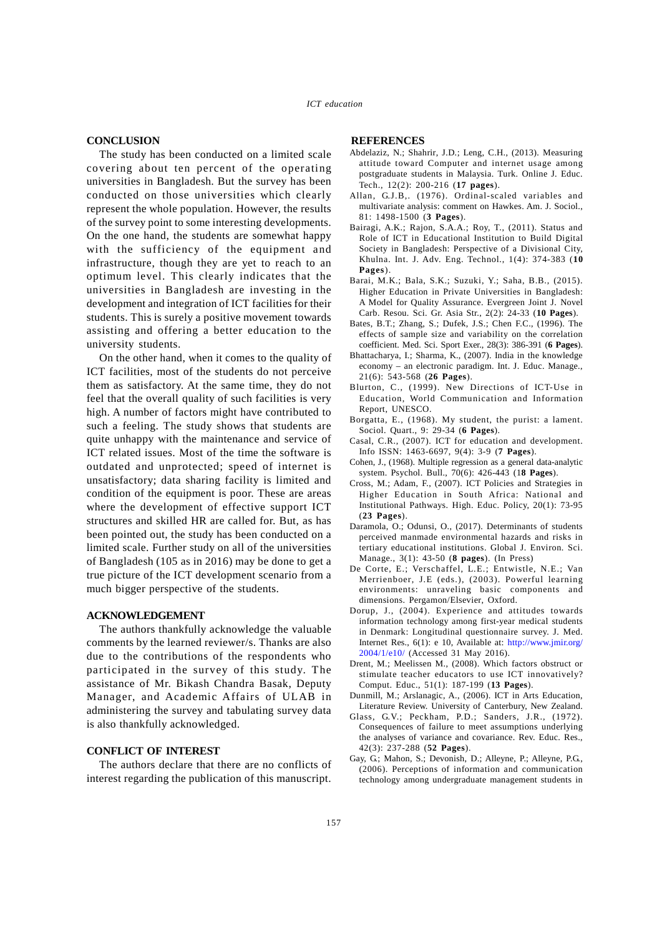## **CONCLUSION**

The study has been conducted on a limited scale covering about ten percent of the operating universities in Bangladesh. But the survey has been conducted on those universities which clearly represent the whole population. However, the results of the survey point to some interesting developments. On the one hand, the students are somewhat happy with the sufficiency of the equipment and infrastructure, though they are yet to reach to an optimum level. This clearly indicates that the universities in Bangladesh are investing in the development and integration of ICT facilities for their students. This is surely a positive movement towards assisting and offering a better education to the university students.

On the other hand, when it comes to the quality of ICT facilities, most of the students do not perceive them as satisfactory. At the same time, they do not feel that the overall quality of such facilities is very high. A number of factors might have contributed to such a feeling. The study shows that students are quite unhappy with the maintenance and service of ICT related issues. Most of the time the software is outdated and unprotected; speed of internet is unsatisfactory; data sharing facility is limited and condition of the equipment is poor. These are areas where the development of effective support ICT structures and skilled HR are called for. But, as has been pointed out, the study has been conducted on a limited scale. Further study on all of the universities of Bangladesh (105 as in 2016) may be done to get a true picture of the ICT development scenario from a much bigger perspective of the students.

## **ACKNOWLEDGEMENT**

The authors thankfully acknowledge the valuable comments by the learned reviewer/s. Thanks are also due to the contributions of the respondents who participated in the survey of this study. The assistance of Mr. Bikash Chandra Basak, Deputy Manager, and Academic Affairs of ULAB in administering the survey and tabulating survey data is also thankfully acknowledged.

## **CONFLICT OF INTEREST**

The authors declare that there are no conflicts of interest regarding the publication of this manuscript.

## **REFERENCES**

- Abdelaziz, N.; Shahrir, J.D.; Leng, C.H., (2013). Measuring attitude toward Computer and internet usage among postgraduate students in Malaysia. Turk. Online J. Educ. Tech., 12(2): 200-216 (**17 pages**).
- Allan, G.J.B,. (1976). Ordinal-scaled variables and multivariate analysis: comment on Hawkes. Am. J. Sociol., 81: 1498-1500 (**3 Pages**).
- Bairagi, A.K.; Rajon, S.A.A.; Roy, T., (2011). Status and Role of ICT in Educational Institution to Build Digital Society in Bangladesh: Perspective of a Divisional City, Khulna. Int. J. Adv. Eng. Technol., 1(4): 374-383 (**10 Pages**).
- Barai, M.K.; Bala, S.K.; Suzuki, Y.; Saha, B.B., (2015). Higher Education in Private Universities in Bangladesh: A Model for Quality Assurance. Evergreen Joint J. Novel Carb. Resou. Sci. Gr. Asia Str., 2(2): 24-33 (**10 Pages**).
- Bates, B.T.; Zhang, S.; Dufek, J.S.; Chen F.C., (1996). The effects of sample size and variability on the correlation coefficient. Med. Sci. Sport Exer., 28(3): 386-391 (**6 Pages**).
- Bhattacharya, I.; Sharma, K., (2007). India in the knowledge economy – an electronic paradigm. Int. J. Educ. Manage., 21(6): 543-568 (**26 Pages**).
- Blurton, C., (1999). New Directions of ICT-Use in Education, World Communication and Information Report, UNESCO.
- Borgatta, E., (1968). My student, the purist: a lament. Sociol. Quart., 9: 29-34 (**6 Pages**).
- Casal, C.R., (2007). ICT for education and development. Info ISSN: 1463-6697, 9(4): 3-9 (**7 Pages**).
- Cohen, J., (1968). Multiple regression as a general data-analytic system. Psychol. Bull., 70(6): 426-443 (1**8 Pages**).
- Cross, M.; Adam, F., (2007). ICT Policies and Strategies in Higher Education in South Africa: National and Institutional Pathways. High. Educ. Policy, 20(1): 73-95 (**23 Pages**).
- Daramola, O.; Odunsi, O., (2017). Determinants of students perceived manmade environmental hazards and risks in tertiary educational institutions. Global J. Environ. Sci. Manage., 3(1): 43-50 (**8 pages**). (In Press)
- De Corte, E.; Verschaffel, L.E.; Entwistle, N.E.; Van Merrienboer, J.E (eds.), (2003). Powerful learning environments: unraveling basic components and dimensions. Pergamon/Elsevier, Oxford.
- Dorup, J., (2004). Experience and attitudes towards information technology among first-year medical students in Denmark: Longitudinal questionnaire survey. J. Med. Internet Res., 6(1): e 10, Available at: http://www.jmir.org/ 2004/1/e10/ (Accessed 31 May 2016).
- Drent, M.; Meelissen M., (2008). Which factors obstruct or stimulate teacher educators to use ICT innovatively? Comput. Educ., 51(1): 187-199 (**13 Pages**).
- Dunmill, M.; Arslanagic, A., (2006). ICT in Arts Education, Literature Review. University of Canterbury, New Zealand.
- Glass, G.V.; Peckham, P.D.; Sanders, J.R., (1972). Consequences of failure to meet assumptions underlying the analyses of variance and covariance. Rev. Educ. Res., 42(3): 237-288 (**52 Pages**).
- Gay, G.; Mahon, S.; Devonish, D.; Alleyne, P.; Alleyne, P.G., (2006). Perceptions of information and communication technology among undergraduate management students in